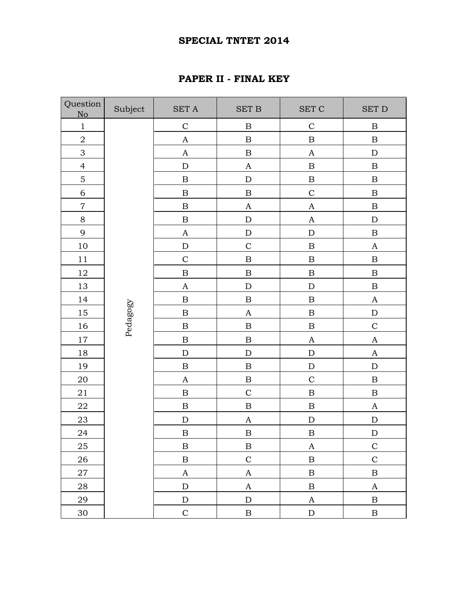## **SPECIAL TNTET 2014**

## **PAPER II - FINAL KEY**

| Question<br>No   | Subject  | <b>SET A</b>     | $\operatorname{SET}$ B    | $\operatorname{SET}$ $\operatorname{C}$ | <b>SET D</b>          |
|------------------|----------|------------------|---------------------------|-----------------------------------------|-----------------------|
| $\mathbf 1$      |          | $\mathsf C$      | $\, {\bf B}$              | $\mathsf{C}$                            | $\, {\bf B}$          |
| $\sqrt{2}$       |          | $\mathbf A$      | $\, {\bf B}$              | $\, {\bf B}$                            | $\, {\bf B}$          |
| 3                |          | $\boldsymbol{A}$ | $\, {\bf B}$              | $\boldsymbol{A}$                        | ${\rm D}$             |
| $\overline{4}$   |          | ${\rm D}$        | $\boldsymbol{\mathsf{A}}$ | $\, {\bf B}$                            | $\, {\bf B}$          |
| $\mathbf 5$      |          | $\, {\bf B}$     | ${\bf D}$                 | $\, {\bf B}$                            | $\, {\bf B}$          |
| $\sqrt{6}$       |          | $\, {\bf B}$     | $\, {\bf B}$              | $\mathsf{C}$                            | $\, {\bf B}$          |
| $\boldsymbol{7}$ |          | $\, {\bf B}$     | $\boldsymbol{\rm{A}}$     | $\boldsymbol{A}$                        | $\, {\bf B}$          |
| $8\,$            |          | $\, {\bf B}$     | ${\bf D}$                 | $\boldsymbol{A}$                        | ${\bf D}$             |
| 9                |          | $\mathbf A$      | ${\rm D}$                 | ${\bf D}$                               | $\, {\bf B}$          |
| 10               |          | ${\rm D}$        | $\mathcal{C}$             | $\, {\bf B}$                            | $\boldsymbol{\rm{A}}$ |
| $11\,$           |          | $\mathbf C$      | $\, {\bf B}$              | $\, {\bf B}$                            | $\, {\bf B}$          |
| 12               |          | $\, {\bf B}$     | $\, {\bf B}$              | $\, {\bf B}$                            | $\, {\bf B}$          |
| $13\,$           |          | $\mathbf A$      | ${\bf D}$                 | ${\bf D}$                               | $\, {\bf B}$          |
| 14               |          | $\, {\bf B}$     | $\, {\bf B}$              | $\, {\bf B}$                            | $\boldsymbol{\rm{A}}$ |
| 15               | Pedagogy | $\, {\bf B}$     | $\boldsymbol{\mathsf{A}}$ | $\, {\bf B}$                            | ${\bf D}$             |
| 16               |          | $\, {\bf B}$     | $\, {\bf B}$              | $\, {\bf B}$                            | $\mathsf C$           |
| 17               |          | $\, {\bf B}$     | $\, {\bf B}$              | $\boldsymbol{A}$                        | $\boldsymbol{A}$      |
| 18               |          | ${\bf D}$        | ${\bf D}$                 | ${\bf D}$                               | $\boldsymbol{\rm{A}}$ |
| 19               |          | $\, {\bf B}$     | $\, {\bf B}$              | ${\bf D}$                               | ${\rm D}$             |
| $20\,$           |          | $\boldsymbol{A}$ | $\, {\bf B}$              | $\mathsf{C}$                            | $\, {\bf B}$          |
| 21               |          | $\, {\bf B}$     | $\mathsf C$               | $\, {\bf B}$                            | $\, {\bf B}$          |
| 22               |          | $\, {\bf B}$     | $\, {\bf B}$              | $\, {\bf B}$                            | $\boldsymbol{\rm{A}}$ |
| $23\,$           |          | ${\bf D}$        | $\boldsymbol{\mathsf{A}}$ | ${\bf D}$                               | ${\rm D}$             |
| 24               |          | $\, {\bf B}$     | $\, {\bf B}$              | $\, {\bf B}$                            | ${\bf D}$             |
| $25\,$           |          | $\, {\bf B}$     | $\, {\bf B}$              | $\boldsymbol{A}$                        | $\mathsf C$           |
| 26               |          | $\, {\bf B}$     | $\mathbf C$               | $\, {\bf B}$                            | $\mathbf C$           |
| $27\,$           |          | $\mathbf{A}$     | $\mathbf{A}$              | $\, {\bf B}$                            | $\, {\bf B}$          |
| 28               |          | ${\rm D}$        | $\mathbf{A}$              | $\, {\bf B}$                            | $\boldsymbol{A}$      |
| 29               |          | ${\bf D}$        | ${\rm D}$                 | $\boldsymbol{A}$                        | $\, {\bf B}$          |
| 30               |          | $\mathbf C$      | $\, {\bf B}$              | ${\rm D}$                               | $\, {\bf B}$          |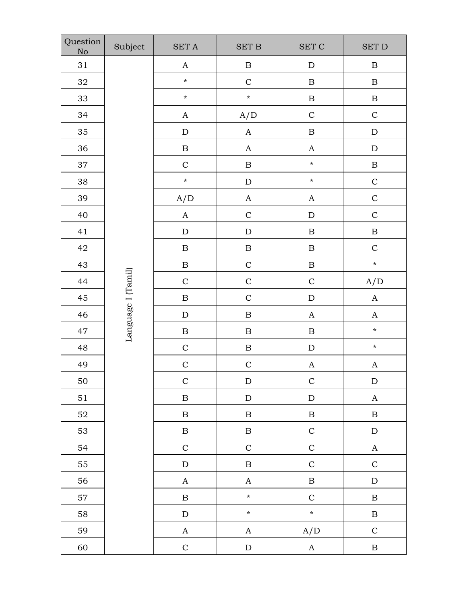| Question<br>No | Subject            | $\operatorname{SET}$ A | <b>SET B</b>     | <b>SET C</b>     | $\operatorname{SET}$ D |
|----------------|--------------------|------------------------|------------------|------------------|------------------------|
| 31             |                    | $\boldsymbol{A}$       | $\, {\bf B}$     | ${\bf D}$        | $\, {\bf B}$           |
| $32\,$         |                    | $\star$                | $\mathbf C$      | $\, {\bf B}$     | $\, {\bf B}$           |
| 33             |                    | $\star$                | $\pmb{\star}$    | $\, {\bf B}$     | $\, {\bf B}$           |
| 34             |                    | $\mathbf A$            | A/D              | $\mathbf C$      | $\mathbf C$            |
| 35             |                    | ${\rm D}$              | $\mathbf A$      | $\, {\bf B}$     | ${\rm D}$              |
| 36             |                    | $\, {\bf B}$           | $\boldsymbol{A}$ | $\boldsymbol{A}$ | ${\rm D}$              |
| 37             |                    | $\mathbf C$            | $\, {\bf B}$     | $\star$          | $\, {\bf B}$           |
| 38             |                    | $\star$                | ${\bf D}$        | $\star$          | $\mathbf C$            |
| 39             |                    | A/D                    | $\boldsymbol{A}$ | $\mathbf{A}$     | $\mathbf C$            |
| 40             |                    | $\boldsymbol{A}$       | $\mathbf C$      | ${\rm D}$        | $\mathsf{C}$           |
| 41             |                    | ${\bf D}$              | ${\bf D}$        | $\, {\bf B}$     | $\, {\bf B}$           |
| 42             |                    | $\, {\bf B}$           | $\, {\bf B}$     | $\, {\bf B}$     | $\mathbf C$            |
| 43             |                    | $\, {\bf B}$           | $\mathbf C$      | $\, {\bf B}$     | $\star$                |
| 44             |                    | $\mathcal{C}$          | $\mathbf C$      | $\mathbf C$      | A/D                    |
| 45             |                    | $\, {\bf B}$           | $\mathbf C$      | ${\bf D}$        | $\mathbf A$            |
| 46             |                    | ${\bf D}$              | $\, {\bf B}$     | $\boldsymbol{A}$ | $\boldsymbol{A}$       |
| 47             | Language I (Tamil) | $\, {\bf B}$           | $\, {\bf B}$     | $\, {\bf B}$     | $\star$                |
| 48             |                    | $\mathbf C$            | $\, {\bf B}$     | ${\rm D}$        | $\star$                |
| 49             |                    | $\mathbf C$            | $\mathbf C$      | $\boldsymbol{A}$ | $\boldsymbol{A}$       |
| 50             |                    | $\mathbf C$            | ${\rm D}$        | $\mathbf C$      | ${\rm D}$              |
| $51\,$         |                    | $\, {\bf B}$           | ${\bf D}$        | ${\bf D}$        | $\mathbf A$            |
| $52\,$         |                    | $\, {\bf B}$           | $\, {\bf B}$     | $\, {\bf B}$     | $\, {\bf B}$           |
| 53             |                    | $\, {\bf B}$           | $\, {\bf B}$     | $\mathbf C$      | ${\rm D}$              |
| 54             |                    | $\mathbf C$            | $\mathbf C$      | $\mathbf C$      | $\mathbf A$            |
| 55             |                    | ${\bf D}$              | $\, {\bf B}$     | $\mathbf C$      | $\mathbf C$            |
| 56             |                    | $\mathbf{A}$           | $\mathbf A$      | $\, {\bf B}$     | ${\rm D}$              |
| 57             |                    | $\, {\bf B}$           | $\star$          | $\mathbf C$      | $\, {\bf B}$           |
| 58             |                    | ${\rm D}$              | $\pmb{\star}$    | $\star$          | $\, {\bf B}$           |
| 59             |                    | $\mathbf{A}$           | $\mathbf A$      | A/D              | $\mathbf C$            |
| 60             |                    | $\mathbf C$            | ${\bf D}$        | $\mathbf{A}$     | $\, {\bf B}$           |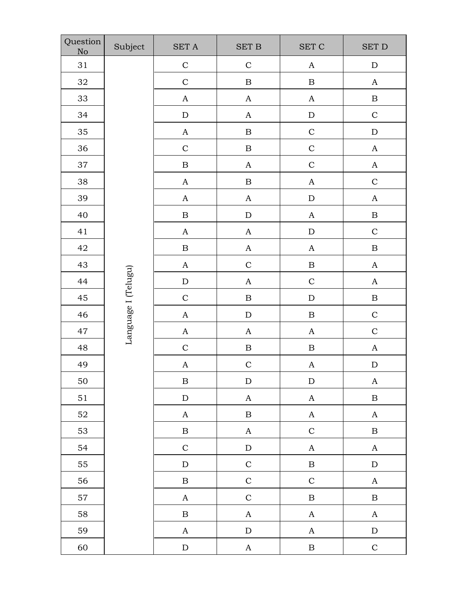| Question<br>No | Subject             | $\operatorname{SET}$ A | $\operatorname{SET}$ B | $\operatorname{SET}$ $\operatorname{C}$ | <b>SET D</b>          |
|----------------|---------------------|------------------------|------------------------|-----------------------------------------|-----------------------|
| 31             |                     | $\mathbf C$            | $\mathbf C$            | $\mathbf A$                             | ${\rm D}$             |
| 32             |                     | $\mathbf C$            | $\, {\bf B}$           | $\, {\bf B}$                            | $\boldsymbol{\rm{A}}$ |
| 33             |                     | $\boldsymbol{A}$       | $\boldsymbol{A}$       | $\boldsymbol{A}$                        | $\, {\bf B}$          |
| 34             |                     | ${\rm D}$              | $\boldsymbol{A}$       | ${\rm D}$                               | $\mathbf C$           |
| 35             |                     | $\mathbf A$            | $\, {\bf B}$           | $\mathsf C$                             | ${\rm D}$             |
| 36             |                     | $\mathbf C$            | $\, {\bf B}$           | $\mathbf C$                             | $\mathbf{A}$          |
| 37             |                     | $\, {\bf B}$           | $\boldsymbol{A}$       | $\mathbf C$                             | $\boldsymbol{\rm{A}}$ |
| 38             |                     | $\boldsymbol{A}$       | $\, {\bf B}$           | $\boldsymbol{A}$                        | $\mathbf C$           |
| 39             |                     | $\mathbf{A}$           | $\boldsymbol{A}$       | ${\rm D}$                               | $\boldsymbol{A}$      |
| 40             |                     | $\, {\bf B}$           | ${\rm D}$              | $\boldsymbol{\rm{A}}$                   | $\, {\bf B}$          |
| 41             |                     | $\boldsymbol{A}$       | $\mathbf A$            | ${\bf D}$                               | $\mathbf C$           |
| 42             |                     | $\, {\bf B}$           | $\boldsymbol{A}$       | $\mathbf A$                             | $\, {\bf B}$          |
| 43             |                     | $\boldsymbol{A}$       | $\mathbf C$            | $\, {\bf B}$                            | $\boldsymbol{A}$      |
| 44             |                     | ${\rm D}$              | $\boldsymbol{A}$       | $\mathbf C$                             | $\boldsymbol{A}$      |
| 45             | Language I (Telugu) | $\mathbf C$            | $\, {\bf B}$           | ${\rm D}$                               | $\, {\bf B}$          |
| 46             |                     | $\mathbf A$            | ${\rm D}$              | $\, {\bf B}$                            | $\mathbf C$           |
| 47             |                     | $\mathbf{A}$           | $\boldsymbol{A}$       | $\boldsymbol{A}$                        | $\mathbf C$           |
| 48             |                     | $\mathcal{C}$          | $\, {\bf B}$           | $\, {\bf B}$                            | $\boldsymbol{A}$      |
| 49             |                     | $\boldsymbol{A}$       | $\mathbf C$            | $\boldsymbol{A}$                        | ${\bf D}$             |
| 50             |                     | $\boldsymbol{B}$       | ${\rm D}$              | ${\rm D}$                               | $\boldsymbol{A}$      |
| 51             |                     | ${\bf D}$              | $\mathbf A$            | $\mathbf A$                             | $\, {\bf B}$          |
| 52             |                     | $\mathbf{A}$           | $\, {\bf B}$           | $\boldsymbol{A}$                        | $\boldsymbol{A}$      |
| 53             |                     | $\, {\bf B}$           | $\mathbf{A}$           | $\mathbf C$                             | $\, {\bf B}$          |
| 54             |                     | $\mathbf C$            | ${\bf D}$              | $\boldsymbol{A}$                        | $\boldsymbol{\rm{A}}$ |
| 55             |                     | ${\rm D}$              | $\mathbf C$            | $\, {\bf B}$                            | ${\rm D}$             |
| 56             |                     | $\, {\bf B}$           | $\mathbf C$            | $\mathbf C$                             | $\mathbf{A}$          |
| 57             |                     | $\mathbf{A}$           | $\mathbf C$            | $\, {\bf B}$                            | $\, {\bf B}$          |
| 58             |                     | $\, {\bf B}$           | $\boldsymbol{A}$       | $\boldsymbol{A}$                        | $\boldsymbol{A}$      |
| 59             |                     | $\mathbf{A}$           | ${\bf D}$              | $\boldsymbol{A}$                        | ${\rm D}$             |
| 60             |                     | ${\rm D}$              | $\mathbf{A}$           | $\, {\bf B}$                            | $\mathbf C$           |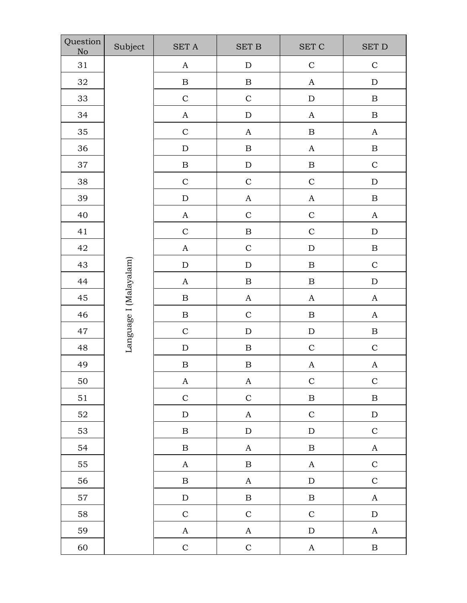| Question<br>No | Subject                | $\operatorname{SET}$ A | <b>SET B</b>          | $\operatorname{SET}$ $\operatorname{C}$ | <b>SET D</b>          |
|----------------|------------------------|------------------------|-----------------------|-----------------------------------------|-----------------------|
| 31             |                        | $\boldsymbol{\rm{A}}$  | ${\rm D}$             | $\mathbf C$                             | $\mathbf C$           |
| $32\,$         |                        | $\, {\bf B}$           | $\, {\bf B}$          | $\boldsymbol{A}$                        | $\mathbf D$           |
| 33             |                        | $\mathbf C$            | $\mathbf C$           | ${\bf D}$                               | $\, {\bf B}$          |
| 34             |                        | $\boldsymbol{A}$       | ${\bf D}$             | $\boldsymbol{A}$                        | $\, {\bf B}$          |
| 35             |                        | $\mathsf{C}$           | $\boldsymbol{A}$      | $\, {\bf B}$                            | $\boldsymbol{A}$      |
| 36             |                        | ${\bf D}$              | $\, {\bf B}$          | $\boldsymbol{A}$                        | $\, {\bf B}$          |
| 37             |                        | $\, {\bf B}$           | ${\rm D}$             | $\, {\bf B}$                            | $\mathbf C$           |
| 38             |                        | $\mathcal{C}$          | $\mathsf C$           | $\mathbf C$                             | ${\rm D}$             |
| 39             |                        | ${\rm D}$              | $\boldsymbol{A}$      | $\boldsymbol{\rm{A}}$                   | $\, {\bf B}$          |
| 40             |                        | $\boldsymbol{A}$       | $\mathbf C$           | $\mathbf C$                             | $\boldsymbol{A}$      |
| 41             |                        | $\mathbf C$            | $\, {\bf B}$          | $\mathbf C$                             | $\mathbf D$           |
| 42             |                        | $\mathbf A$            | $\mathbf C$           | ${\bf D}$                               | $\, {\bf B}$          |
| 43             |                        | ${\rm D}$              | ${\rm D}$             | $\, {\bf B}$                            | $\mathbf C$           |
| 44             |                        | $\boldsymbol{A}$       | $\, {\bf B}$          | $\, {\bf B}$                            | $\mathbf D$           |
| 45             | Language I (Malayalam) | $\, {\bf B}$           | $\boldsymbol{\rm{A}}$ | $\boldsymbol{A}$                        | $\boldsymbol{A}$      |
| 46             |                        | $\, {\bf B}$           | $\mathsf{C}$          | $\, {\bf B}$                            | $\boldsymbol{A}$      |
| 47             |                        | $\mathsf{C}$           | ${\bf D}$             | ${\rm D}$                               | $\, {\bf B}$          |
| 48             |                        | $\mathbf D$            | $\, {\bf B}$          | $\mathbf C$                             | $\mathbf C$           |
| 49             |                        | $\, {\bf B}$           | $\, {\bf B}$          | $\boldsymbol{A}$                        | $\boldsymbol{A}$      |
| 50             |                        | $\mathbf{A}$           | $\mathbf{A}$          | $\mathbf C$                             | $\mathbf C$           |
| 51             |                        | $\mathbf C$            | $\mathbf C$           | $\, {\bf B}$                            | $\, {\bf B}$          |
| 52             |                        | ${\bf D}$              | $\boldsymbol{A}$      | $\mathbf C$                             | ${\bf D}$             |
| 53             |                        | $\, {\bf B}$           | ${\rm D}$             | ${\bf D}$                               | $\mathbf C$           |
| 54             |                        | $\, {\bf B}$           | $\boldsymbol{A}$      | $\, {\bf B}$                            | $\boldsymbol{\rm{A}}$ |
| 55             |                        | $\mathbf{A}$           | $\, {\bf B}$          | $\boldsymbol{A}$                        | $\mathbf C$           |
| 56             |                        | $\, {\bf B}$           | $\mathbf{A}$          | $\mathbf D$                             | $\mathbf C$           |
| 57             |                        | ${\bf D}$              | $\, {\bf B}$          | $\, {\bf B}$                            | $\mathbf A$           |
| 58             |                        | $\mathbf C$            | $\mathbf C$           | $\mathbf C$                             | ${\bf D}$             |
| 59             |                        | $\mathbf A$            | $\boldsymbol{\rm{A}}$ | ${\bf D}$                               | $\mathbf A$           |
| 60             |                        | $\mathbf C$            | $\mathbf C$           | $\mathbf A$                             | $\, {\bf B}$          |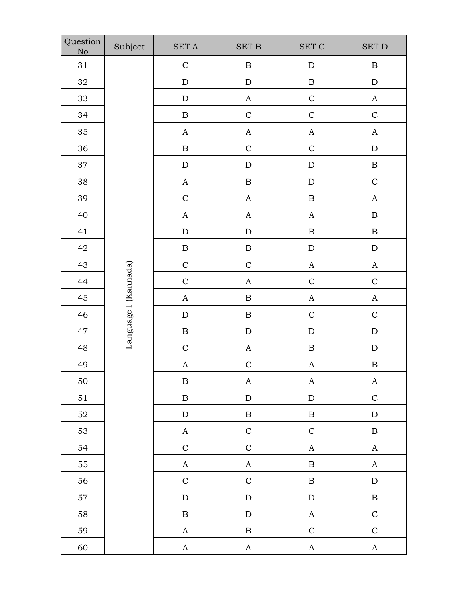| Question<br>No | Subject              | $\operatorname{SET}$ A | <b>SET B</b>          | $\operatorname{SET}$ $\operatorname{C}$ | <b>SET D</b>          |
|----------------|----------------------|------------------------|-----------------------|-----------------------------------------|-----------------------|
| 31             |                      | $\mathbf C$            | $\, {\bf B}$          | ${\rm D}$                               | $\, {\bf B}$          |
| $32\,$         |                      | $\mathbf D$            | ${\bf D}$             | $\, {\bf B}$                            | $\mathbf D$           |
| 33             |                      | ${\rm D}$              | $\boldsymbol{A}$      | $\mathsf C$                             | $\boldsymbol{A}$      |
| 34             |                      | $\, {\bf B}$           | $\mathbf C$           | $\mathsf C$                             | $\mathsf C$           |
| 35             |                      | $\boldsymbol{A}$       | $\boldsymbol{\rm{A}}$ | $\boldsymbol{A}$                        | $\boldsymbol{A}$      |
| 36             |                      | $\, {\bf B}$           | $\mathbf C$           | $\mathsf C$                             | ${\rm D}$             |
| 37             |                      | ${\rm D}$              | ${\rm D}$             | ${\rm D}$                               | $\, {\bf B}$          |
| 38             |                      | $\mathbf A$            | $\, {\bf B}$          | ${\rm D}$                               | $\mathbf C$           |
| 39             |                      | $\mathbf C$            | $\boldsymbol{A}$      | $\, {\bf B}$                            | $\boldsymbol{A}$      |
| 40             |                      | $\boldsymbol{A}$       | $\boldsymbol{\rm{A}}$ | $\boldsymbol{A}$                        | $\, {\bf B}$          |
| 41             |                      | $\mathbf D$            | ${\rm D}$             | $\, {\bf B}$                            | $\, {\bf B}$          |
| 42             |                      | $\, {\bf B}$           | $\, {\bf B}$          | ${\bf D}$                               | ${\rm D}$             |
| 43             |                      | $\mathcal{C}$          | $\mathbf C$           | $\boldsymbol{A}$                        | $\boldsymbol{\rm{A}}$ |
| 44             |                      | $\mathcal{C}$          | $\boldsymbol{A}$      | $\mathbf C$                             | $\mathbf C$           |
| 45             | Language I (Kannada) | $\boldsymbol{A}$       | $\, {\bf B}$          | $\boldsymbol{\rm{A}}$                   | $\boldsymbol{A}$      |
| 46             |                      | ${\rm D}$              | $\, {\bf B}$          | $\mathbf C$                             | $\mathbf C$           |
| 47             |                      | $\, {\bf B}$           | ${\rm D}$             | ${\bf D}$                               | ${\rm D}$             |
| 48             |                      | $\mathsf{C}$           | $\boldsymbol{A}$      | $\, {\bf B}$                            | ${\rm D}$             |
| 49             |                      | $\boldsymbol{A}$       | $\mathbf C$           | $\boldsymbol{A}$                        | $\, {\bf B}$          |
| 50             |                      | $\boldsymbol{B}$       | $\mathbf A$           | A                                       | $\mathbf{A}$          |
| 51             |                      | $\, {\bf B}$           | ${\rm D}$             | ${\bf D}$                               | $\mathbf C$           |
| 52             |                      | ${\rm D}$              | $\, {\bf B}$          | $\, {\bf B}$                            | ${\bf D}$             |
| 53             |                      | $\mathbf{A}$           | $\mathbf C$           | $\mathbf C$                             | $\, {\bf B}$          |
| 54             |                      | $\mathbf C$            | $\mathbf C$           | $\boldsymbol{A}$                        | $\boldsymbol{A}$      |
| 55             |                      | $\mathbf A$            | $\mathbf{A}$          | $\, {\bf B}$                            | $\boldsymbol{A}$      |
| 56             |                      | $\mathbf C$            | $\mathbf C$           | $\, {\bf B}$                            | ${\rm D}$             |
| 57             |                      | ${\rm D}$              | ${\rm D}$             | ${\rm D}$                               | $\, {\bf B}$          |
| 58             |                      | $\, {\bf B}$           | ${\rm D}$             | $\boldsymbol{A}$                        | $\mathbf C$           |
| 59             |                      | $\mathbf{A}$           | $\, {\bf B}$          | $\mathbf C$                             | $\mathbf C$           |
| 60             |                      | $\mathbf A$            | $\mathbf A$           | $\mathbf A$                             | $\mathbf{A}$          |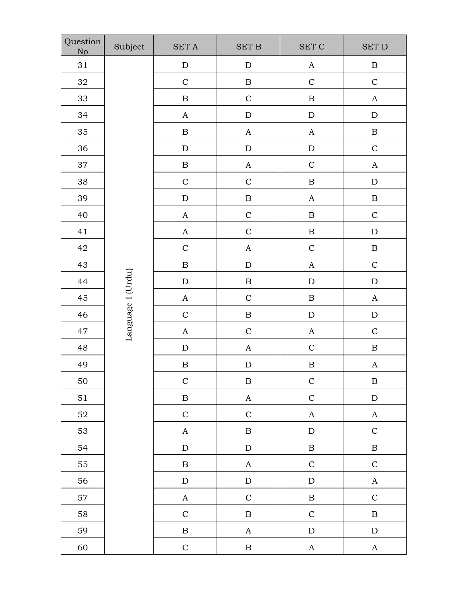| Question<br>No | Subject           | $\operatorname{SET}$ A    | <b>SET B</b>          | $\operatorname{SET}$ $\operatorname{C}$ | <b>SET D</b>          |
|----------------|-------------------|---------------------------|-----------------------|-----------------------------------------|-----------------------|
| 31             |                   | ${\rm D}$                 | ${\bf D}$             | $\boldsymbol{\rm{A}}$                   | $\, {\bf B}$          |
| $32\,$         |                   | $\mathsf C$               | $\, {\bf B}$          | $\mathbf C$                             | $\mathbf C$           |
| 33             |                   | $\, {\bf B}$              | $\mathbf C$           | $\, {\bf B}$                            | $\boldsymbol{A}$      |
| 34             |                   | $\boldsymbol{A}$          | ${\bf D}$             | $\mathbf D$                             | ${\rm D}$             |
| 35             |                   | $\, {\bf B}$              | $\boldsymbol{A}$      | $\boldsymbol{A}$                        | $\, {\bf B}$          |
| 36             |                   | ${\rm D}$                 | ${\rm D}$             | ${\rm D}$                               | $\mathbf C$           |
| 37             |                   | $\, {\bf B}$              | $\boldsymbol{A}$      | $\mathbf C$                             | $\boldsymbol{\rm{A}}$ |
| 38             |                   | $\mathcal{C}$             | $\mathbf C$           | $\, {\bf B}$                            | ${\bf D}$             |
| 39             |                   | ${\rm D}$                 | $\, {\bf B}$          | $\boldsymbol{A}$                        | $\, {\bf B}$          |
| 40             |                   | $\boldsymbol{A}$          | $\mathbf C$           | $\, {\bf B}$                            | $\mathbf C$           |
| 41             |                   | $\boldsymbol{A}$          | $\mathbf C$           | $\, {\bf B}$                            | ${\rm D}$             |
| 42             |                   | $\mathbf C$               | $\mathbf A$           | $\mathbf C$                             | $\, {\bf B}$          |
| 43             |                   | $\, {\bf B}$              | ${\rm D}$             | $\boldsymbol{A}$                        | $\mathbf C$           |
| 44             |                   | ${\rm D}$                 | $\, {\bf B}$          | ${\bf D}$                               | ${\rm D}$             |
| 45             | Language I (Urdu) | $\boldsymbol{A}$          | $\mathsf C$           | $\, {\bf B}$                            | $\boldsymbol{A}$      |
| 46             |                   | $\mathsf{C}$              | $\, {\bf B}$          | ${\bf D}$                               | ${\rm D}$             |
| 47             |                   | $\boldsymbol{A}$          | $\mathbf C$           | $\boldsymbol{\rm{A}}$                   | $\mathbf C$           |
| 48             |                   | $\mathbf D$               | $\boldsymbol{A}$      | $\mathsf C$                             | $\, {\bf B}$          |
| 49             |                   | $\, {\bf B}$              | ${\bf D}$             | $\, {\bf B}$                            | $\boldsymbol{A}$      |
| 50             |                   | $\mathbf C$               | $\, {\bf B}$          | $\mathbf C$                             | $\, {\bf B}$          |
| 51             |                   | $\, {\bf B}$              | $\mathbf A$           | $\mathbf C$                             | ${\bf D}$             |
| 52             |                   | $\mathbf C$               | $\mathbf C$           | $\boldsymbol{A}$                        | $\boldsymbol{A}$      |
| 53             |                   | $\boldsymbol{\mathsf{A}}$ | $\, {\bf B}$          | ${\bf D}$                               | $\mathbf C$           |
| 54             |                   | ${\bf D}$                 | ${\bf D}$             | $\, {\bf B}$                            | $\, {\bf B}$          |
| 55             |                   | $\, {\bf B}$              | $\mathbf{A}$          | $\mathbf C$                             | $\mathbf C$           |
| 56             |                   | ${\rm D}$                 | ${\rm D}$             | $\mathbf D$                             | $\mathbf{A}$          |
| 57             |                   | $\mathbf A$               | $\mathbf C$           | $\, {\bf B}$                            | $\mathbf C$           |
| 58             |                   | $\mathbf C$               | $\, {\bf B}$          | $\mathbf C$                             | $\, {\bf B}$          |
| 59             |                   | $\, {\bf B}$              | $\boldsymbol{\rm{A}}$ | ${\bf D}$                               | ${\bf D}$             |
| 60             |                   | $\mathbf C$               | $\, {\bf B}$          | $\mathbf A$                             | $\mathbf{A}$          |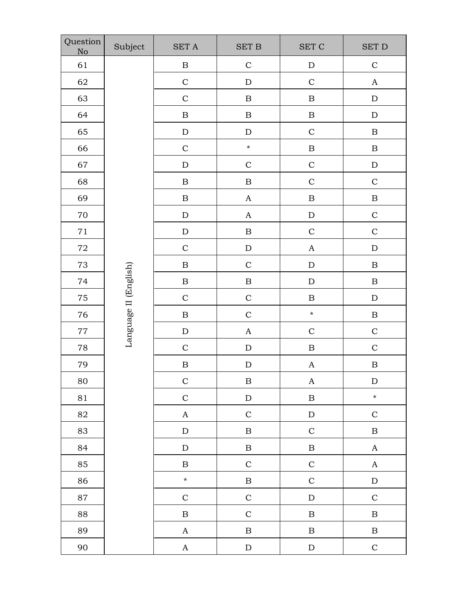| Question<br>No | Subject               | $\operatorname{SET}$ A                                                  | <b>SET B</b>          | $\operatorname{SET}$ $\operatorname{C}$ | <b>SET D</b>          |
|----------------|-----------------------|-------------------------------------------------------------------------|-----------------------|-----------------------------------------|-----------------------|
| 61             |                       | $\, {\bf B}$                                                            | $\mathbf C$           | ${\rm D}$                               | $\mathbf C$           |
| 62             |                       | $\mathcal{C}$                                                           | ${\bf D}$             | $\mathbf C$                             | $\boldsymbol{A}$      |
| 63             |                       | $\mathsf{C}$                                                            | $\, {\bf B}$          | $\, {\bf B}$                            | ${\bf D}$             |
| 64             |                       | $\, {\bf B}$                                                            | $\, {\bf B}$          | $\, {\bf B}$                            | ${\rm D}$             |
| 65             |                       | ${\bf D}$                                                               | ${\rm D}$             | $\mathsf{C}$                            | $\, {\bf B}$          |
| 66             |                       | $\mathcal{C}$                                                           | $\star$               | $\, {\bf B}$                            | $\, {\bf B}$          |
| 67             |                       | ${\rm D}$                                                               | $\mathsf{C}$          | $\mathbf C$                             | ${\bf D}$             |
| 68             |                       | $\, {\bf B}$                                                            | $\, {\bf B}$          | $\mathbf C$                             | $\mathbf C$           |
| 69             |                       | $\, {\bf B}$                                                            | $\boldsymbol{A}$      | $\, {\bf B}$                            | $\, {\bf B}$          |
| $70\,$         |                       | $\label{eq:1} \mathbf{D}% =\mathbf{D}+\mathbf{D}+\mathbf{D}+\mathbf{D}$ | $\boldsymbol{\rm{A}}$ | ${\rm D}$                               | $\mathbf C$           |
| $71\,$         |                       | $\label{eq:1} \mathbf{D}% =\mathbf{D}+\mathbf{D}+\mathbf{D}$            | $\, {\bf B}$          | $\mathbf C$                             | $\mathbf C$           |
| $72\,$         |                       | $\mathbf C$                                                             | ${\bf D}$             | $\boldsymbol{\rm{A}}$                   | ${\rm D}$             |
| 73             |                       | $\, {\bf B}$                                                            | $\mathbf C$           | ${\bf D}$                               | $\, {\bf B}$          |
| 74             |                       | $\, {\bf B}$                                                            | $\, {\bf B}$          | ${\bf D}$                               | $\, {\bf B}$          |
| 75             | Language II (English) | $\mathcal{C}$                                                           | $\mathbf C$           | $\, {\bf B}$                            | ${\rm D}$             |
| 76             |                       | $\, {\bf B}$                                                            | $\mathbf C$           | $\star$                                 | $\, {\bf B}$          |
| $77\,$         |                       | ${\rm D}$                                                               | $\boldsymbol{\rm{A}}$ | $\mathbf C$                             | $\mathbf C$           |
| 78             |                       | $\mathcal{C}$                                                           | ${\bf D}$             | $\, {\bf B}$                            | $\mathbf C$           |
| 79             |                       | $\, {\bf B}$                                                            | $\mathbf D$           | $\boldsymbol{A}$                        | $\, {\bf B}$          |
| 80             |                       | $\mathbf C$                                                             | $\, {\bf B}$          | A                                       | ${\rm D}$             |
| 81             |                       | $\mathbf C$                                                             | ${\rm D}$             | $\, {\bf B}$                            | $\star$               |
| 82             |                       | $\mathbf A$                                                             | $\mathbf C$           | ${\bf D}$                               | $\mathbf C$           |
| 83             |                       | ${\bf D}$                                                               | $\, {\bf B}$          | $\mathbf C$                             | $\, {\bf B}$          |
| 84             |                       | ${\bf D}$                                                               | $\, {\bf B}$          | $\, {\bf B}$                            | $\boldsymbol{\rm{A}}$ |
| 85             |                       | $\, {\bf B}$                                                            | $\mathbf C$           | $\mathbf C$                             | $\boldsymbol{A}$      |
| 86             |                       | $\star$                                                                 | $\, {\bf B}$          | $\mathbf C$                             | ${\rm D}$             |
| 87             |                       | $\mathbf C$                                                             | $\mathbf C$           | ${\bf D}$                               | $\mathbf C$           |
| 88             |                       | $\, {\bf B}$                                                            | $\mathbf C$           | $\, {\bf B}$                            | $\, {\bf B}$          |
| 89             |                       | $\mathbf{A}$                                                            | $\, {\bf B}$          | $\, {\bf B}$                            | $\, {\bf B}$          |
| 90             |                       | $\mathbf A$                                                             | ${\rm D}$             | ${\bf D}$                               | $\mathbf C$           |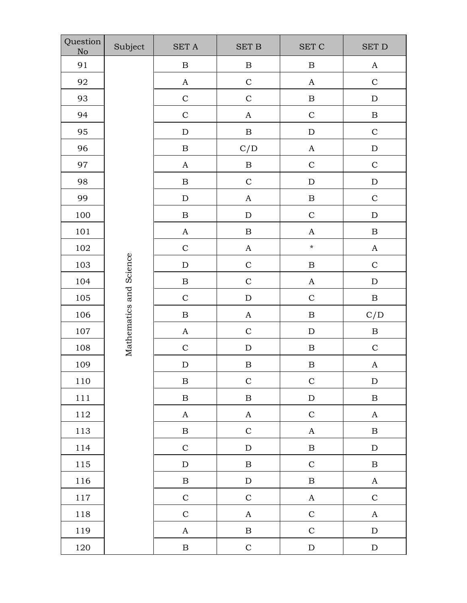| Question<br>No | Subject                 | <b>SET A</b> | $\operatorname{SET}$ B | $\operatorname{SET}$ $\operatorname{C}$ | $\operatorname{SET}$ D |  |
|----------------|-------------------------|--------------|------------------------|-----------------------------------------|------------------------|--|
| 91             |                         | $\, {\bf B}$ | $\, {\bf B}$           | $\, {\bf B}$                            | $\mathbf A$            |  |
| 92             |                         | $\mathbf A$  | $\mathbf C$            | $\mathbf A$                             | $\mathbf C$            |  |
| 93             |                         | $\mathbf C$  | $\mathbf C$            | $\, {\bf B}$                            | ${\bf D}$              |  |
| 94             |                         | $\mathbf C$  | $\mathbf A$            | $\mathsf C$                             | $\, {\bf B}$           |  |
| 95             |                         | ${\rm D}$    | $\, {\bf B}$           | ${\bf D}$                               | $\mathsf C$            |  |
| 96             |                         | $\, {\bf B}$ | C/D                    | $\boldsymbol{\rm{A}}$                   | ${\bf D}$              |  |
| 97             |                         | $\mathbf A$  | $\, {\bf B}$           | $\mathsf C$                             | $\mathbf C$            |  |
| 98             |                         | $\, {\bf B}$ | $\mathbf C$            | ${\rm D}$                               | ${\bf D}$              |  |
| 99             |                         | ${\bf D}$    | $\boldsymbol{A}$       | $\, {\bf B}$                            | $\mathbf C$            |  |
| 100            |                         | $\, {\bf B}$ | ${\bf D}$              | $\mathsf{C}$                            | ${\rm D}$              |  |
| $101\,$        |                         | $\mathbf A$  | $\, {\bf B}$           | $\mathbf A$                             | $\, {\bf B}$           |  |
| 102            |                         | $\mathbf C$  | $\mathbf A$            | $\pmb{\star}$                           | $\mathbf A$            |  |
| 103            | Mathematics and Science | ${\bf D}$    | $\mathbf C$            | $\, {\bf B}$                            | $\mathbf C$            |  |
| 104            |                         | $\, {\bf B}$ | $\mathsf{C}$           | $\mathbf A$                             | ${\rm D}$              |  |
| 105            |                         | $\mathbf C$  | ${\bf D}$              | $\mathsf C$                             | $\, {\bf B}$           |  |
| 106            |                         | $\, {\bf B}$ | $\mathbf{A}$           | $\, {\bf B}$                            | C/D                    |  |
| 107            |                         | $\mathbf{A}$ | $\mathbf C$            | ${\bf D}$                               | $\, {\bf B}$           |  |
| 108            |                         | $\mathbf C$  | ${\rm D}$              | $\, {\bf B}$                            | $\mathbf C$            |  |
| 109            |                         | ${\bf D}$    | $\, {\bf B}$           | $\, {\bf B}$                            | $\boldsymbol{A}$       |  |
| 110            |                         | $\, {\bf B}$ | $\mathsf{C}$           | $\mathbf C$                             | ${\rm D}$              |  |
| 111            |                         | $\, {\bf B}$ | $\, {\bf B}$           | ${\rm D}$                               | $\, {\bf B}$           |  |
| 112            |                         | $\mathbf{A}$ | $\mathbf A$            | $\mathbf C$                             | $\mathbf{A}$           |  |
| 113            |                         | $\, {\bf B}$ | $\mathbf C$            | $\mathbf A$                             | $\, {\bf B}$           |  |
| 114            |                         | $\mathbf C$  | ${\rm D}$              | $\, {\bf B}$                            | ${\rm D}$              |  |
| 115            |                         | ${\rm D}$    | $\, {\bf B}$           | $\mathbf C$                             | $\, {\bf B}$           |  |
| 116            |                         | $\, {\bf B}$ | ${\bf D}$              | $\, {\bf B}$                            | $\mathbf{A}$           |  |
| 117            |                         | $\mathbf C$  | $\mathbf C$            | $\mathbf{A}$                            | $\mathbf C$            |  |
| 118            |                         | $\mathbf C$  | $\mathbf A$            | $\mathbf C$                             | $\mathbf{A}$           |  |
| 119            |                         | $\mathbf A$  | $\, {\bf B}$           | $\mathbf C$                             | ${\rm D}$              |  |
| 120            |                         | $\, {\bf B}$ | $\mathbf C$            | ${\rm D}$                               | ${\rm D}$              |  |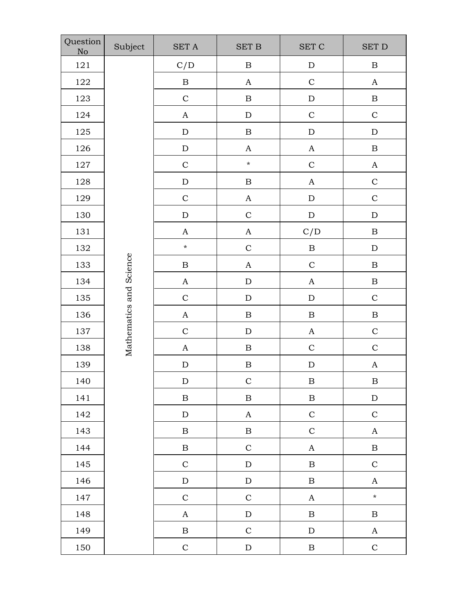| Question<br>No | Subject                 | $\operatorname{SET}$ A | $\operatorname{SET}$ B | $\operatorname{SET}$ $\operatorname{C}$ | $\operatorname{SET}$ D    |  |
|----------------|-------------------------|------------------------|------------------------|-----------------------------------------|---------------------------|--|
| 121            |                         | C/D                    | $\, {\bf B}$           | ${\rm D}$                               | $\, {\bf B}$              |  |
| 122            |                         | $\, {\bf B}$           | $\mathbf A$            | $\mathbf C$                             | $\boldsymbol{\rm{A}}$     |  |
| 123            |                         | $\mathbf C$            | $\, {\bf B}$           | ${\bf D}$                               | $\, {\bf B}$              |  |
| 124            |                         | $\mathbf{A}$           | ${\bf D}$              | $\mathbf C$                             | $\mathbf C$               |  |
| 125            |                         | ${\rm D}$              | $\, {\bf B}$           | ${\rm D}$                               | ${\bf D}$                 |  |
| 126            |                         | ${\rm D}$              | $\mathbf{A}$           | $\mathbf{A}$                            | $\, {\bf B}$              |  |
| 127            |                         | $\mathbf C$            | $\star$                | $\mathbf C$                             | $\mathbf A$               |  |
| 128            |                         | ${\bf D}$              | $\, {\bf B}$           | $\mathbf{A}$                            | $\mathbf C$               |  |
| 129            |                         | $\mathbf C$            | $\mathbf A$            | ${\rm D}$                               | $\mathbf C$               |  |
| 130            |                         | ${\rm D}$              | $\mathbf C$            | ${\rm D}$                               | ${\bf D}$                 |  |
| 131            |                         | $\mathbf A$            | $\mathbf A$            | C/D                                     | $\, {\bf B}$              |  |
| 132            |                         | $\star$                | $\mathbf C$            | $\, {\bf B}$                            | ${\bf D}$                 |  |
| 133            |                         | $\, {\bf B}$           | $\mathbf{A}$           | $\mathbf C$                             | $\, {\bf B}$              |  |
| 134            |                         | $\mathbf{A}$           | ${\bf D}$              | $\mathbf A$                             | $\, {\bf B}$              |  |
| 135            |                         | $\mathbf C$            | ${\bf D}$              | ${\bf D}$                               | $\mathbf C$               |  |
| 136            |                         | $\mathbf{A}$           | $\, {\bf B}$           | $\, {\bf B}$                            | $\, {\bf B}$              |  |
| 137            | Mathematics and Science | $\mathbf C$            | ${\rm D}$              | $\mathbf A$                             | $\mathbf C$               |  |
| 138            |                         | $\mathbf A$            | $\, {\bf B}$           | $\mathbf C$                             | $\mathbf C$               |  |
| 139            |                         | ${\bf D}$              | $\, {\bf B}$           | ${\bf D}$                               | $\boldsymbol{\mathsf{A}}$ |  |
| 140            |                         | ${\rm D}$              | $\mathbf C$            | $\, {\bf B}$                            | $\, {\bf B}$              |  |
| 141            |                         | $\, {\bf B}$           | $\, {\bf B}$           | $\, {\bf B}$                            | ${\rm D}$                 |  |
| 142            |                         | ${\rm D}$              | $\mathbf A$            | $\mathbf C$                             | $\mathbf C$               |  |
| 143            |                         | $\, {\bf B}$           | $\, {\bf B}$           | $\mathbf C$                             | $\mathbf{A}$              |  |
| 144            |                         | $\, {\bf B}$           | $\mathbf C$            | $\mathbf{A}$                            | $\, {\bf B}$              |  |
| 145            |                         | $\mathbf C$            | ${\rm D}$              | $\, {\bf B}$                            | $\mathbf C$               |  |
| 146            |                         | ${\rm D}$              | ${\rm D}$              | $\, {\bf B}$                            | $\boldsymbol{A}$          |  |
| 147            |                         | $\mathbf C$            | $\mathbf C$            | $\mathbf A$                             | $\star$                   |  |
| 148            |                         | $\mathbf{A}$           | ${\rm D}$              | $\, {\bf B}$                            | $\, {\bf B}$              |  |
| 149            |                         | $\, {\bf B}$           | $\mathbf C$            | ${\rm D}$                               | $\mathbf{A}$              |  |
| 150            |                         | $\mathbf C$            | ${\bf D}$              | $\, {\bf B}$                            | $\mathbf C$               |  |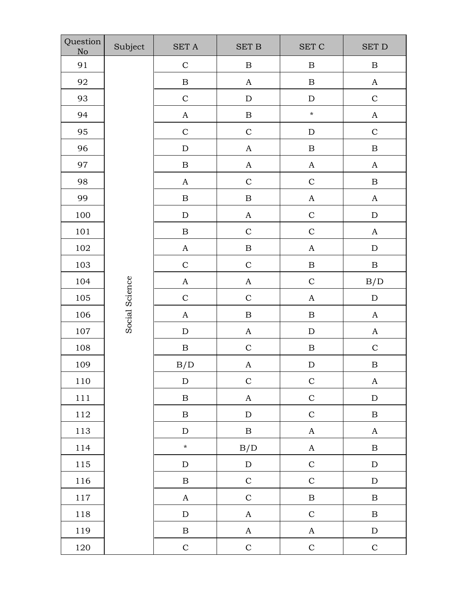| Question<br>No | Subject        | $\operatorname{SET}$ A | <b>SET B</b>              | <b>SET C</b>     | $\operatorname{SET}$ D |
|----------------|----------------|------------------------|---------------------------|------------------|------------------------|
| 91             |                | $\mathbf C$            | $\, {\bf B}$              | $\, {\bf B}$     | $\, {\bf B}$           |
| 92             |                | $\, {\bf B}$           | $\boldsymbol{A}$          | $\, {\bf B}$     | $\mathbf A$            |
| 93             |                | $\mathsf{C}$           | ${\rm D}$                 | ${\rm D}$        | $\mathsf C$            |
| 94             |                | $\boldsymbol{A}$       | $\, {\bf B}$              | $\star$          | $\mathbf A$            |
| 95             |                | $\mathbf C$            | $\mathbf C$               | ${\rm D}$        | $\mathbf C$            |
| 96             |                | ${\rm D}$              | $\boldsymbol{A}$          | $\, {\bf B}$     | $\, {\bf B}$           |
| 97             |                | $\, {\bf B}$           | $\boldsymbol{A}$          | $\boldsymbol{A}$ | $\mathbf A$            |
| 98             |                | $\boldsymbol{A}$       | $\mathbf C$               | $\mathbf C$      | $\, {\bf B}$           |
| 99             |                | $\, {\bf B}$           | $\, {\bf B}$              | $\boldsymbol{A}$ | $\boldsymbol{A}$       |
| 100            |                | ${\bf D}$              | $\boldsymbol{A}$          | $\mathsf{C}$     | ${\rm D}$              |
| 101            |                | $\, {\bf B}$           | $\mathbf C$               | $\mathbf C$      | $\boldsymbol{A}$       |
| 102            |                | $\mathbf A$            | $\, {\bf B}$              | $\boldsymbol{A}$ | ${\bf D}$              |
| 103            |                | $\mathbf C$            | $\mathbf C$               | $\, {\bf B}$     | $\, {\bf B}$           |
| 104            |                | $\boldsymbol{A}$       | $\boldsymbol{\mathsf{A}}$ | $\mathcal{C}$    | B/D                    |
| 105            | Social Science | $\mathbf C$            | $\mathbf C$               | $\boldsymbol{A}$ | ${\rm D}$              |
| 106            |                | $\boldsymbol{A}$       | $\, {\bf B}$              | $\, {\bf B}$     | $\boldsymbol{A}$       |
| 107            |                | ${\rm D}$              | $\boldsymbol{A}$          | ${\rm D}$        | $\boldsymbol{A}$       |
| 108            |                | $\, {\bf B}$           | $\mathbf C$               | $\, {\bf B}$     | $\mathbf C$            |
| 109            |                | B/D                    | A                         | ${\rm D}$        | $\, {\bf B}$           |
| $110\,$        |                | ${\rm D}$              | $\mathbf C$               | $\mathbf C$      | $\mathbf{A}$           |
| $1\,1\,1$      |                | $\, {\bf B}$           | $\boldsymbol{A}$          | $\mathbf C$      | ${\rm D}$              |
| 112            |                | $\, {\bf B}$           | ${\rm D}$                 | $\mathsf C$      | $\, {\bf B}$           |
| 113            |                | ${\rm D}$              | $\, {\bf B}$              | $\boldsymbol{A}$ | $\mathbf A$            |
| 114            |                | $\star$                | B/D                       | $\mathbf A$      | $\, {\bf B}$           |
| 115            |                | ${\rm D}$              | ${\bf D}$                 | $\mathbf C$      | ${\rm D}$              |
| 116            |                | $\, {\bf B}$           | $\mathbf C$               | $\mathbf C$      | ${\rm D}$              |
| $1\,17$        |                | $\boldsymbol{A}$       | $\mathbf C$               | $\, {\bf B}$     | $\, {\bf B}$           |
| 118            |                | ${\rm D}$              | $\mathbf A$               | $\mathbf C$      | $\, {\bf B}$           |
| 119            |                | $\, {\bf B}$           | $\mathbf{A}$              | $\mathbf A$      | ${\rm D}$              |
| 120            |                | $\mathbf C$            | $\mathbf C$               | $\mathbf C$      | $\mathbf C$            |